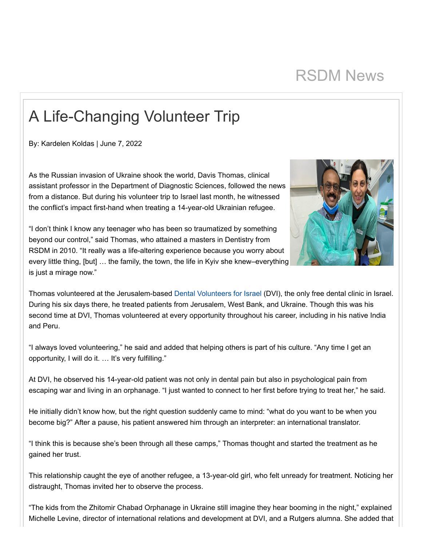## RSDM News

## A Life-Changing Volunteer Trip

By: Kardelen Koldas | June 7, 2022

As the Russian invasion of Ukraine shook the world, Davis Thomas, clinical assistant professor in the Department of Diagnostic Sciences, followed the news from a distance. But during his volunteer trip to Israel last month, he witnessed the conflict's impact first-hand when treating a 14-year-old Ukrainian refugee.

"I don't think I know any teenager who has been so traumatized by something beyond our control," said Thomas, who attained a masters in Dentistry from RSDM in 2010. "It really was a life-altering experience because you worry about every little thing, [but] … the family, the town, the life in Kyiv she knew–everything is just a mirage now."



Thomas volunteered at the Jerusalem-based [Dental Volunteers for Israel](https://dental-dvi.org.il/) (DVI), the only free dental clinic in Israel. During his six days there, he treated patients from Jerusalem, West Bank, and Ukraine. Though this was his second time at DVI, Thomas volunteered at every opportunity throughout his career, including in his native India and Peru.

"I always loved volunteering," he said and added that helping others is part of his culture. "Any time I get an opportunity, I will do it. … It's very fulfilling."

At DVI, he observed his 14-year-old patient was not only in dental pain but also in psychological pain from escaping war and living in an orphanage. "I just wanted to connect to her first before trying to treat her," he said.

He initially didn't know how, but the right question suddenly came to mind: "what do you want to be when you become big?" After a pause, his patient answered him through an interpreter: an international translator.

"I think this is because she's been through all these camps," Thomas thought and started the treatment as he gained her trust.

This relationship caught the eye of another refugee, a 13-year-old girl, who felt unready for treatment. Noticing her distraught, Thomas invited her to observe the process.

"The kids from the Zhitomir Chabad Orphanage in Ukraine still imagine they hear booming in the night," explained Michelle Levine, director of international relations and development at DVI, and a Rutgers alumna. She added that